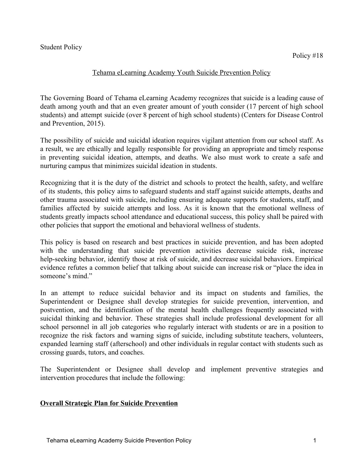### Tehama eLearning Academy Youth Suicide Prevention Policy

The Governing Board of Tehama eLearning Academy recognizes that suicide is a leading cause of death among youth and that an even greater amount of youth consider (17 percent of high school students) and attempt suicide (over 8 percent of high school students) (Centers for Disease Control and Prevention, 2015).

The possibility of suicide and suicidal ideation requires vigilant attention from our school staff. As a result, we are ethically and legally responsible for providing an appropriate and timely response in preventing suicidal ideation, attempts, and deaths. We also must work to create a safe and nurturing campus that minimizes suicidal ideation in students.

Recognizing that it is the duty of the district and schools to protect the health, safety, and welfare of its students, this policy aims to safeguard students and staff against suicide attempts, deaths and other trauma associated with suicide, including ensuring adequate supports for students, staff, and families affected by suicide attempts and loss. As it is known that the emotional wellness of students greatly impacts school attendance and educational success, this policy shall be paired with other policies that support the emotional and behavioral wellness of students.

This policy is based on research and best practices in suicide prevention, and has been adopted with the understanding that suicide prevention activities decrease suicide risk, increase help-seeking behavior, identify those at risk of suicide, and decrease suicidal behaviors. Empirical evidence refutes a common belief that talking about suicide can increase risk or "place the idea in someone's mind."

In an attempt to reduce suicidal behavior and its impact on students and families, the Superintendent or Designee shall develop strategies for suicide prevention, intervention, and postvention, and the identification of the mental health challenges frequently associated with suicidal thinking and behavior. These strategies shall include professional development for all school personnel in all job categories who regularly interact with students or are in a position to recognize the risk factors and warning signs of suicide, including substitute teachers, volunteers, expanded learning staff (afterschool) and other individuals in regular contact with students such as crossing guards, tutors, and coaches.

The Superintendent or Designee shall develop and implement preventive strategies and intervention procedures that include the following:

# **Overall Strategic Plan for Suicide Prevention**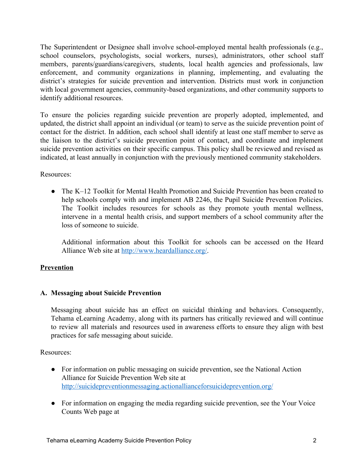The Superintendent or Designee shall involve school-employed mental health professionals (e.g., school counselors, psychologists, social workers, nurses), administrators, other school staff members, parents/guardians/caregivers, students, local health agencies and professionals, law enforcement, and community organizations in planning, implementing, and evaluating the district's strategies for suicide prevention and intervention. Districts must work in conjunction with local government agencies, community-based organizations, and other community supports to identify additional resources.

To ensure the policies regarding suicide prevention are properly adopted, implemented, and updated, the district shall appoint an individual (or team) to serve as the suicide prevention point of contact for the district. In addition, each school shall identify at least one staff member to serve as the liaison to the district's suicide prevention point of contact, and coordinate and implement suicide prevention activities on their specific campus. This policy shall be reviewed and revised as indicated, at least annually in conjunction with the previously mentioned community stakeholders.

Resources:

• The K–12 Toolkit for Mental Health Promotion and Suicide Prevention has been created to help schools comply with and implement AB 2246, the Pupil Suicide Prevention Policies. The Toolkit includes resources for schools as they promote youth mental wellness, intervene in a mental health crisis, and support members of a school community after the loss of someone to suicide.

Additional information about this Toolkit for schools can be accessed on the Heard Alliance Web site at <http://www.heardalliance.org/>.

# **Prevention**

# **A. Messaging about Suicide Prevention**

Messaging about suicide has an effect on suicidal thinking and behaviors. Consequently, Tehama eLearning Academy, along with its partners has critically reviewed and will continue to review all materials and resources used in awareness efforts to ensure they align with best practices for safe messaging about suicide.

Resources:

- For information on public messaging on suicide prevention, see the National Action Alliance for Suicide Prevention Web site at <http://suicidepreventionmessaging.actionallianceforsuicideprevention.org/>
- For information on engaging the media regarding suicide prevention, see the Your Voice Counts Web page at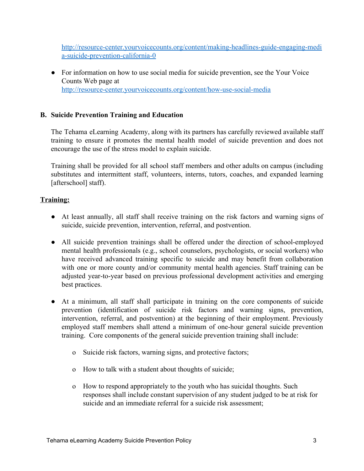[http://resource-center.yourvoicecounts.org/content/making-headlines-guide-engaging-medi](http://resource-center.yourvoicecounts.org/content/making-headlines-guide-engaging-media-suicide-prevention-california-0) [a-suicide-prevention-california-0](http://resource-center.yourvoicecounts.org/content/making-headlines-guide-engaging-media-suicide-prevention-california-0)

• For information on how to use social media for suicide prevention, see the Your Voice Counts Web page at <http://resource-center.yourvoicecounts.org/content/how-use-social-media>

# **B. Suicide Prevention Training and Education**

The Tehama eLearning Academy, along with its partners has carefully reviewed available staff training to ensure it promotes the mental health model of suicide prevention and does not encourage the use of the stress model to explain suicide.

Training shall be provided for all school staff members and other adults on campus (including substitutes and intermittent staff, volunteers, interns, tutors, coaches, and expanded learning [afterschool] staff).

### **Training:**

- At least annually, all staff shall receive training on the risk factors and warning signs of suicide, suicide prevention, intervention, referral, and postvention.
- All suicide prevention trainings shall be offered under the direction of school-employed mental health professionals (e.g., school counselors, psychologists, or social workers) who have received advanced training specific to suicide and may benefit from collaboration with one or more county and/or community mental health agencies. Staff training can be adjusted year-to-year based on previous professional development activities and emerging best practices.
- At a minimum, all staff shall participate in training on the core components of suicide prevention (identification of suicide risk factors and warning signs, prevention, intervention, referral, and postvention) at the beginning of their employment. Previously employed staff members shall attend a minimum of one-hour general suicide prevention training. Core components of the general suicide prevention training shall include:
	- o Suicide risk factors, warning signs, and protective factors;
	- o How to talk with a student about thoughts of suicide;
	- o How to respond appropriately to the youth who has suicidal thoughts. Such responses shall include constant supervision of any student judged to be at risk for suicide and an immediate referral for a suicide risk assessment;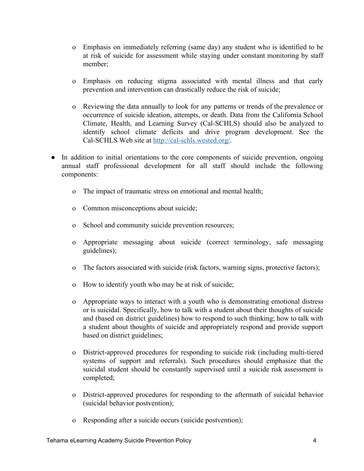- o Emphasis on immediately referring (same day) any student who is identified to be at risk of suicide for assessment while staying under constant monitoring by staff member;
- o Emphasis on reducing stigma associated with mental illness and that early prevention and intervention can drastically reduce the risk of suicide;
- o Reviewing the data annually to look for any patterns or trends of the prevalence or occurrence of suicide ideation, attempts, or death. Data from the California School Climate, Health, and Learning Survey (Cal-SCHLS) should also be analyzed to identify school climate deficits and drive program development. See the Cal-SCHLS Web site at [http://cal-schls.wested.org/.](http://cal-schls.wested.org/)
- In addition to initial orientations to the core components of suicide prevention, ongoing annual staff professional development for all staff should include the following components:
	- o The impact of traumatic stress on emotional and mental health;
	- o Common misconceptions about suicide;
	- o School and community suicide prevention resources;
	- o Appropriate messaging about suicide (correct terminology, safe messaging guidelines);
	- o The factors associated with suicide (risk factors, warning signs, protective factors);
	- o How to identify youth who may be at risk of suicide;
	- o Appropriate ways to interact with a youth who is demonstrating emotional distress or is suicidal. Specifically, how to talk with a student about their thoughts of suicide and (based on district guidelines) how to respond to such thinking; how to talk with a student about thoughts of suicide and appropriately respond and provide support based on district guidelines;
	- o District-approved procedures for responding to suicide risk (including multi-tiered systems of support and referrals). Such procedures should emphasize that the suicidal student should be constantly supervised until a suicide risk assessment is completed;
	- o District-approved procedures for responding to the aftermath of suicidal behavior (suicidal behavior postvention);
	- o Responding after a suicide occurs (suicide postvention);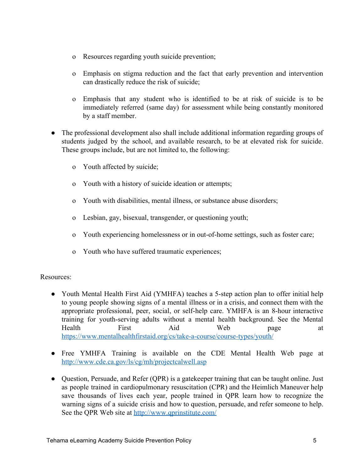- o Resources regarding youth suicide prevention;
- o Emphasis on stigma reduction and the fact that early prevention and intervention can drastically reduce the risk of suicide;
- o Emphasis that any student who is identified to be at risk of suicide is to be immediately referred (same day) for assessment while being constantly monitored by a staff member.
- The professional development also shall include additional information regarding groups of students judged by the school, and available research, to be at elevated risk for suicide. These groups include, but are not limited to, the following:
	- o Youth affected by suicide;
	- o Youth with a history of suicide ideation or attempts;
	- o Youth with disabilities, mental illness, or substance abuse disorders;
	- o Lesbian, gay, bisexual, transgender, or questioning youth;
	- o Youth experiencing homelessness or in out-of-home settings, such as foster care;
	- o Youth who have suffered traumatic experiences;

### Resources:

- Youth Mental Health First Aid (YMHFA) teaches a 5-step action plan to offer initial help to young people showing signs of a mental illness or in a crisis, and connect them with the appropriate professional, peer, social, or self-help care. YMHFA is an 8-hour interactive training for youth-serving adults without a mental health background. See the Mental Health First Aid Web page at <https://www.mentalhealthfirstaid.org/cs/take-a-course/course-types/youth/>
- Free YMHFA Training is available on the CDE Mental Health Web page at <http://www.cde.ca.gov/ls/cg/mh/projectcalwell.asp>
- Question, Persuade, and Refer (QPR) is a gate keeper training that can be taught online. Just as people trained in cardiopulmonary resuscitation (CPR) and the Heimlich Maneuver help save thousands of lives each year, people trained in QPR learn how to recognize the warning signs of a suicide crisis and how to question, persuade, and refer someone to help. See the QPR Web site at <http://www.qprinstitute.com/>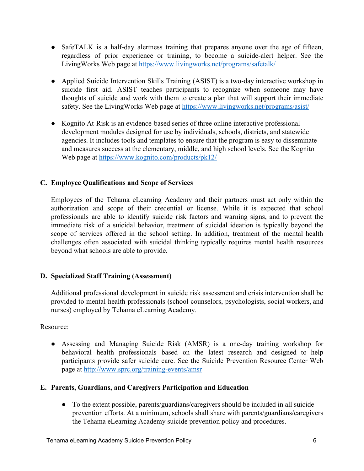- SafeTALK is a half-day alertness training that prepares anyone over the age of fifteen, regardless of prior experience or training, to become a suicide-alert helper. See the LivingWorks Web page at <https://www.livingworks.net/programs/safetalk/>
- Applied Suicide Intervention Skills Training (ASIST) is a two-day interactive workshop in suicide first aid. ASIST teaches participants to recognize when someone may have thoughts of suicide and work with them to create a plan that will support their immediate safety. See the LivingWorks Web page at <https://www.livingworks.net/programs/asist/>
- Kognito At-Risk is an evidence-based series of three online interactive professional development modules designed for use by individuals, schools, districts, and statewide agencies. It includes tools and templates to ensure that the program is easy to disseminate and measures success at the elementary, middle, and high school levels. See the Kognito Web page at <https://www.kognito.com/products/pk12/>

# **C. Employee Qualifications and Scope of Services**

Employees of the Tehama eLearning Academy and their partners must act only within the authorization and scope of their credential or license. While it is expected that school professionals are able to identify suicide risk factors and warning signs, and to prevent the immediate risk of a suicidal behavior, treatment of suicidal ideation is typically beyond the scope of services offered in the school setting. In addition, treatment of the mental health challenges often associated with suicidal thinking typically requires mental health resources beyond what schools are able to provide.

### **D. Specialized Staff Training (Assessment)**

Additional professional development in suicide risk assessment and crisis intervention shall be provided to mental health professionals (school counselors, psychologists, social workers, and nurses) employed by Tehama eLearning Academy.

Resource:

● Assessing and Managing Suicide Risk (AMSR) is a one-day training workshop for behavioral health professionals based on the latest research and designed to help participants provide safer suicide care. See the Suicide Prevention Resource Center Web page at <http://www.sprc.org/training-events/amsr>

### **E. Parents, Guardians, and Caregivers Participation and Education**

● To the extent possible, parents/guardians/caregivers should be included in all suicide prevention efforts. At a minimum, schools shall share with parents/guardians/caregivers the Tehama eLearning Academy suicide prevention policy and procedures.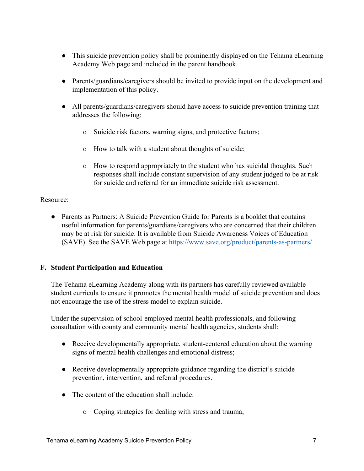- This suicide prevention policy shall be prominently displayed on the Tehama eLearning Academy Web page and included in the parent handbook.
- Parents/guardians/caregivers should be invited to provide input on the development and implementation of this policy.
- All parents/guardians/caregivers should have access to suicide prevention training that addresses the following:
	- o Suicide risk factors, warning signs, and protective factors;
	- o How to talk with a student about thoughts of suicide;
	- o How to respond appropriately to the student who has suicidal thoughts. Such responses shall include constant supervision of any student judged to be at risk for suicide and referral for an immediate suicide risk assessment.

#### Resource:

• Parents as Partners: A Suicide Prevention Guide for Parents is a booklet that contains useful information for parents/guardians/caregivers who are concerned that their children may be at risk for suicide. It is available from Suicide Awareness Voices of Education (SAVE). See the SAVE Web page at <https://www.save.org/product/parents-as-partners/>

### **F. Student Participation and Education**

The Tehama eLearning Academy along with its partners has carefully reviewed available student curricula to ensure it promotes the mental health model of suicide prevention and does not encourage the use of the stress model to explain suicide.

Under the supervision of school-employed mental health professionals, and following consultation with county and community mental health agencies, students shall:

- Receive developmentally appropriate, student-centered education about the warning signs of mental health challenges and emotional distress;
- Receive developmentally appropriate guidance regarding the district's suicide prevention, intervention, and referral procedures.
- The content of the education shall include:
	- o Coping strategies for dealing with stress and trauma;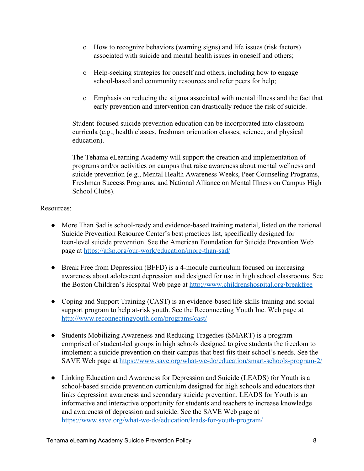- o How to recognize behaviors (warning signs) and life issues (risk factors) associated with suicide and mental health issues in oneself and others;
- o Help-seeking strategies for oneself and others, including how to engage school-based and community resources and refer peers for help;
- o Emphasis on reducing the stigma associated with mental illness and the fact that early prevention and intervention can drastically reduce the risk of suicide.

Student-focused suicide prevention education can be incorporated into classroom curricula (e.g., health classes, freshman orientation classes, science, and physical education).

The Tehama eLearning Academy will support the creation and implementation of programs and/or activities on campus that raise awareness about mental wellness and suicide prevention (e.g., Mental Health Awareness Weeks, Peer Counseling Programs, Freshman Success Programs, and National Alliance on Mental Illness on Campus High School Clubs).

### Resources:

- More Than Sad is school-ready and evidence-based training material, listed on the national Suicide Prevention Resource Center's best practices list, specifically designed for teen-level suicide prevention. See the American Foundation for Suicide Prevention Web page at <https://afsp.org/our-work/education/more-than-sad/>
- Break Free from Depression (BFFD) is a 4-module curriculum focused on increasing awareness about adolescent depression and designed for use in high school classrooms. See the Boston Children's Hospital Web page at <http://www.childrenshospital.org/breakfree>
- Coping and Support Training (CAST) is an evidence-based life-skills training and social support program to help at-risk youth. See the Reconnecting Youth Inc. Web page at <http://www.reconnectingyouth.com/programs/cast/>
- Students Mobilizing Awareness and Reducing Tragedies (SMART) is a program comprised of student-led groups in high schools designed to give students the freedom to implement a suicide prevention on their campus that best fits their school's needs. See the SAVE Web page at <https://www.save.org/what-we-do/education/smart-schools-program-2/>
- Linking Education and Awareness for Depression and Suicide (LEADS) for Youth is a school-based suicide prevention curriculum designed for high schools and educators that links depression awareness and secondary suicide prevention. LEADS for Youth is an informative and interactive opportunity for students and teachers to increase knowledge and awareness of depression and suicide. See the SAVE Web page at <https://www.save.org/what-we-do/education/leads-for-youth-program/>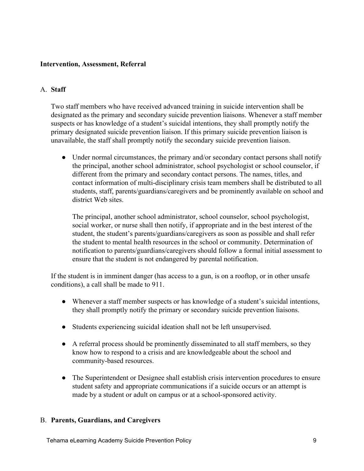#### **Intervention, Assessment, Referral**

#### A. **Staff**

Two staff members who have received advanced training in suicide intervention shall be designated as the primary and secondary suicide prevention liaisons. Whenever a staff member suspects or has knowledge of a student's suicidal intentions, they shall promptly notify the primary designated suicide prevention liaison. If this primary suicide prevention liaison is unavailable, the staff shall promptly notify the secondary suicide prevention liaison.

• Under normal circumstances, the primary and/or secondary contact persons shall notify the principal, another school administrator, school psychologist or school counselor, if different from the primary and secondary contact persons. The names, titles, and contact information of multi-disciplinary crisis team members shall be distributed to all students, staff, parents/guardians/caregivers and be prominently available on school and district Web sites.

The principal, another school administrator, school counselor, school psychologist, social worker, or nurse shall then notify, if appropriate and in the best interest of the student, the student's parents/guardians/caregivers as soon as possible and shall refer the student to mental health resources in the school or community. Determination of notification to parents/guardians/caregivers should follow a formal initial assessment to ensure that the student is not endangered by parental notification.

If the student is in imminent danger (has access to a gun, is on a rooftop, or in other unsafe conditions), a call shall be made to 911.

- Whenever a staff member suspects or has knowledge of a student's suicidal intentions, they shall promptly notify the primary or secondary suicide prevention liaisons.
- Students experiencing suicidal ideation shall not be left unsupervised.
- A referral process should be prominently disseminated to all staff members, so they know how to respond to a crisis and are knowledgeable about the school and community-based resources.
- The Superintendent or Designee shall establish crisis intervention procedures to ensure student safety and appropriate communications if a suicide occurs or an attempt is made by a student or adult on campus or at a school-sponsored activity.

#### B. **Parents, Guardians, and Caregivers**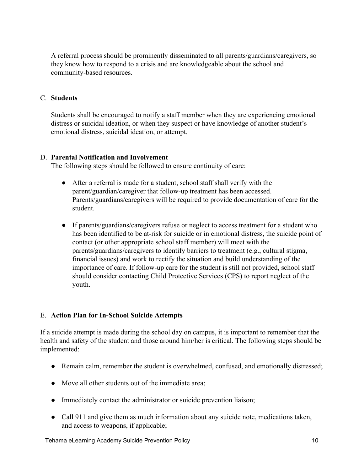A referral process should be prominently disseminated to all parents/guardians/caregivers, so they know how to respond to a crisis and are knowledgeable about the school and community-based resources.

#### C. **Students**

Students shall be encouraged to notify a staff member when they are experiencing emotional distress or suicidal ideation, or when they suspect or have knowledge of another student's emotional distress, suicidal ideation, or attempt.

#### D. **Parental Notification and Involvement**

The following steps should be followed to ensure continuity of care:

- After a referral is made for a student, school staff shall verify with the parent/guardian/caregiver that follow-up treatment has been accessed. Parents/guardians/caregivers will be required to provide documentation of care for the student.
- If parents/guardians/caregivers refuse or neglect to access treatment for a student who has been identified to be at-risk for suicide or in emotional distress, the suicide point of contact (or other appropriate school staff member) will meet with the parents/guardians/caregivers to identify barriers to treatment (e.g., cultural stigma, financial issues) and work to rectify the situation and build understanding of the importance of care. If follow-up care for the student is still not provided, school staff should consider contacting Child Protective Services (CPS) to report neglect of the youth.

### E. **Action Plan for In-School Suicide Attempts**

If a suicide attempt is made during the school day on campus, it is important to remember that the health and safety of the student and those around him/her is critical. The following steps should be implemented:

- Remain calm, remember the student is overwhelmed, confused, and emotionally distressed;
- Move all other students out of the immediate area;
- Immediately contact the administrator or suicide prevention liaison;
- Call 911 and give them as much information about any suicide note, medications taken, and access to weapons, if applicable;

Tehama eLearning Academy Suicide Prevention Policy 10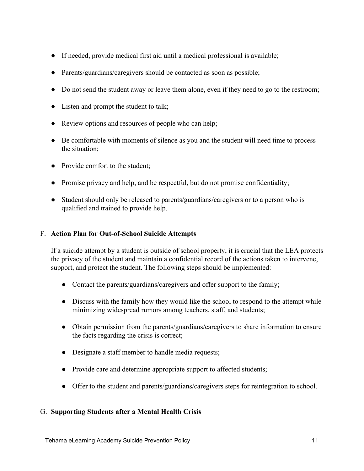- If needed, provide medical first aid until a medical professional is available;
- Parents/guardians/caregivers should be contacted as soon as possible;
- Do not send the student away or leave them alone, even if they need to go to the restroom;
- Listen and prompt the student to talk;
- Review options and resources of people who can help;
- Be comfortable with moments of silence as you and the student will need time to process the situation;
- Provide comfort to the student;
- Promise privacy and help, and be respectful, but do not promise confidentiality;
- Student should only be released to parents/guardians/caregivers or to a person who is qualified and trained to provide help.

#### F. **Action Plan for Out-of-School Suicide Attempts**

If a suicide attempt by a student is outside of school property, it is crucial that the LEA protects the privacy of the student and maintain a confidential record of the actions taken to intervene, support, and protect the student. The following steps should be implemented:

- Contact the parents/guardians/caregivers and offer support to the family;
- Discuss with the family how they would like the school to respond to the attempt while minimizing widespread rumors among teachers, staff, and students;
- Obtain permission from the parents/guardians/caregivers to share information to ensure the facts regarding the crisis is correct;
- Designate a staff member to handle media requests;
- Provide care and determine appropriate support to affected students;
- Offer to the student and parents/guardians/caregivers steps for reintegration to school.

#### G. **Supporting Students after a Mental Health Crisis**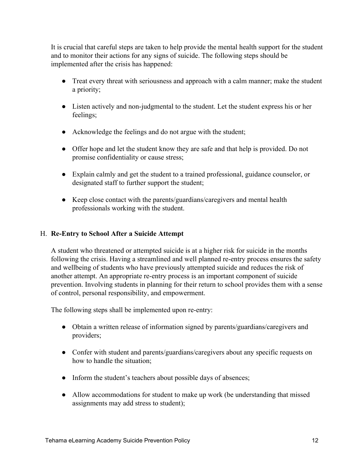It is crucial that careful steps are taken to help provide the mental health support for the student and to monitor their actions for any signs of suicide. The following steps should be implemented after the crisis has happened:

- Treat every threat with seriousness and approach with a calm manner; make the student a priority;
- Listen actively and non-judgmental to the student. Let the student express his or her feelings;
- Acknowledge the feelings and do not argue with the student;
- Offer hope and let the student know they are safe and that help is provided. Do not promise confidentiality or cause stress;
- Explain calmly and get the student to a trained professional, guidance counselor, or designated staff to further support the student;
- Keep close contact with the parents/guardians/caregivers and mental health professionals working with the student.

### H. **Re-Entry to School After a Suicide Attempt**

A student who threatened or attempted suicide is at a higher risk for suicide in the months following the crisis. Having a streamlined and well planned re-entry process ensures the safety and wellbeing of students who have previously attempted suicide and reduces the risk of another attempt. An appropriate re-entry process is an important component of suicide prevention. Involving students in planning for their return to school provides them with a sense of control, personal responsibility, and empowerment.

The following steps shall be implemented upon re-entry:

- Obtain a written release of information signed by parents/guardians/caregivers and providers;
- Confer with student and parents/guardians/caregivers about any specific requests on how to handle the situation;
- Inform the student's teachers about possible days of absences;
- Allow accommodations for student to make up work (be understanding that missed assignments may add stress to student);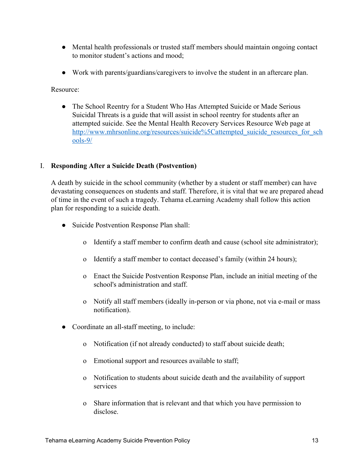- Mental health professionals or trusted staff members should maintain ongoing contact to monitor student's actions and mood;
- Work with parents/guardians/caregivers to involve the student in an aftercare plan.

Resource:

• The School Reentry for a Student Who Has Attempted Suicide or Made Serious Suicidal Threats is a guide that will assist in school reentry for students after an attempted suicide. See the Mental Health Recovery Services Resource Web page at [http://www.mhrsonline.org/resources/suicide%5Cattempted\\_suicide\\_resources\\_for\\_sch](http://www.mhrsonline.org/resources/suicide%5Cattempted_suicide_resources_for_schools-9/) [ools-9/](http://www.mhrsonline.org/resources/suicide%5Cattempted_suicide_resources_for_schools-9/)

#### I. **Responding After a Suicide Death (Postvention)**

A death by suicide in the school community (whether by a student or staff member) can have devastating consequences on students and staff. Therefore, it is vital that we are prepared ahead of time in the event of such a tragedy. Tehama eLearning Academy shall follow this action plan for responding to a suicide death.

- Suicide Postvention Response Plan shall:
	- o Identify a staff member to confirm death and cause (school site administrator);
	- o Identify a staff member to contact deceased's family (within 24 hours);
	- o Enact the Suicide Postvention Response Plan, include an initial meeting of the school's administration and staff.
	- o Notify all staff members (ideally in-person or via phone, not via e-mail or mass notification).
- Coordinate an all-staff meeting, to include:
	- o Notification (if not already conducted) to staff about suicide death;
	- o Emotional support and resources available to staff;
	- o Notification to students about suicide death and the availability of support services
	- o Share information that is relevant and that which you have permission to disclose.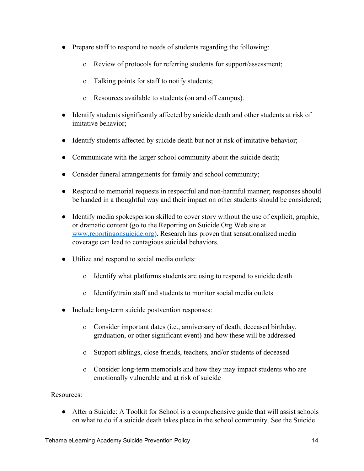- Prepare staff to respond to needs of students regarding the following:
	- o Review of protocols for referring students for support/assessment;
	- o Talking points for staff to notify students;
	- o Resources available to students (on and off campus).
- Identify students significantly affected by suicide death and other students at risk of imitative behavior;
- Identify students affected by suicide death but not at risk of imitative behavior;
- Communicate with the larger school community about the suicide death;
- Consider funeral arrangements for family and school community;
- Respond to memorial requests in respectful and non-harmful manner; responses should be handed in a thoughtful way and their impact on other students should be considered;
- Identify media spokesperson skilled to cover story without the use of explicit, graphic, or dramatic content (go to the Reporting on Suicide.Org Web site at [www.reportingonsuicide.org\)](http://www.reportingonsuicide.org/). Research has proven that sensationalized media coverage can lead to contagious suicidal behaviors.
- Utilize and respond to social media outlets:
	- o Identify what platforms students are using to respond to suicide death
	- o Identify/train staff and students to monitor social media outlets
- Include long-term suicide postvention responses:
	- o Consider important dates (i.e., anniversary of death, deceased birthday, graduation, or other significant event) and how these will be addressed
	- o Support siblings, close friends, teachers, and/or students of deceased
	- o Consider long-term memorials and how they may impact students who are emotionally vulnerable and at risk of suicide

Resources:

• After a Suicide: A Toolkit for School is a comprehensive guide that will assist schools on what to do if a suicide death takes place in the school community. See the Suicide